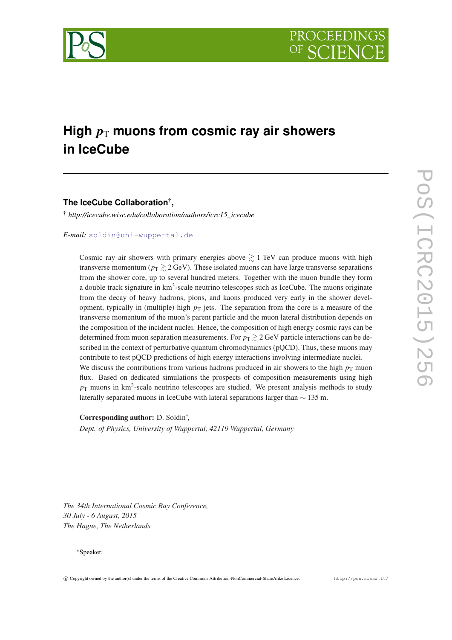

# High  $p_T$  muons from cosmic ray air showers **in IceCube**

**The IceCube Collaboration**† **,**

† *http://icecube.wisc.edu/collaboration/authors/icrc15\_icecube*

*E-mail:* [soldin@uni-wuppertal.de](mailto:soldin@uni-wuppertal.de)

Cosmic ray air showers with primary energies above  $\geq 1$  TeV can produce muons with high transverse momentum ( $p_T \gtrsim 2 \text{ GeV}$ ). These isolated muons can have large transverse separations from the shower core, up to several hundred meters. Together with the muon bundle they form a double track signature in km<sup>3</sup>-scale neutrino telescopes such as IceCube. The muons originate from the decay of heavy hadrons, pions, and kaons produced very early in the shower development, typically in (multiple) high  $p<sub>T</sub>$  jets. The separation from the core is a measure of the transverse momentum of the muon's parent particle and the muon lateral distribution depends on the composition of the incident nuclei. Hence, the composition of high energy cosmic rays can be determined from muon separation measurements. For  $p_T \gtrsim 2 \text{ GeV}$  particle interactions can be described in the context of perturbative quantum chromodynamics (pQCD). Thus, these muons may contribute to test pQCD predictions of high energy interactions involving intermediate nuclei. We discuss the contributions from various hadrons produced in air showers to the high  $p<sub>T</sub>$  muon flux. Based on dedicated simulations the prospects of composition measurements using high  $p<sub>T</sub>$  muons in km<sup>3</sup>-scale neutrino telescopes are studied. We present analysis methods to study laterally separated muons in IceCube with lateral separations larger than ∼ 135 m.

Corresponding author: D. Soldin<sup>\*</sup>, *Dept. of Physics, University of Wuppertal, 42119 Wuppertal, Germany*

*The 34th International Cosmic Ray Conference, 30 July - 6 August, 2015 The Hague, The Netherlands*

## <sup>∗</sup>Speaker.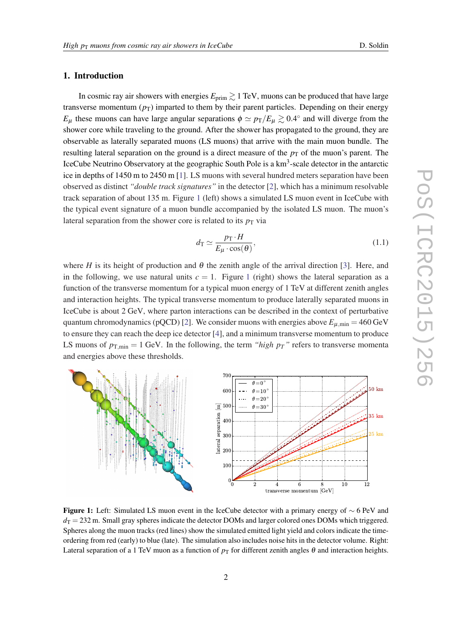## <span id="page-1-0"></span>1. Introduction

In cosmic ray air showers with energies  $E_{\text{prim}} \gtrsim 1 \text{ TeV}$ , muons can be produced that have large transverse momentum  $(p_T)$  imparted to them by their parent particles. Depending on their energy  $E_{\mu}$  these muons can have large angular separations  $\phi \simeq p_{\rm T}/E_{\mu} \gtrsim 0.4^{\circ}$  and will diverge from the shower core while traveling to the ground. After the shower has propagated to the ground, they are observable as laterally separated muons (LS muons) that arrive with the main muon bundle. The resulting lateral separation on the ground is a direct measure of the  $p<sub>T</sub>$  of the muon's parent. The IceCube Neutrino Observatory at the geographic South Pole is a km<sup>3</sup>-scale detector in the antarctic ice in depths of 1450 m to 2450 m [[1](#page-7-0)]. LS muons with several hundred meters separation have been observed as distinct *"double track signatures"* in the detector [[2](#page-7-0)], which has a minimum resolvable track separation of about 135 m. Figure 1 (left) shows a simulated LS muon event in IceCube with the typical event signature of a muon bundle accompanied by the isolated LS muon. The muon's lateral separation from the shower core is related to its  $p<sub>T</sub>$  via

$$
d_{\rm T} \simeq \frac{p_{\rm T} \cdot H}{E_{\mu} \cdot \cos(\theta)},\tag{1.1}
$$

where *H* is its height of production and  $\theta$  the zenith angle of the arrival direction [[3](#page-7-0)]. Here, and in the following, we use natural units  $c = 1$ . Figure 1 (right) shows the lateral separation as a function of the transverse momentum for a typical muon energy of 1 TeV at different zenith angles and interaction heights. The typical transverse momentum to produce laterally separated muons in IceCube is about 2 GeV, where parton interactions can be described in the context of perturbative quantum chromodynamics (pQCD) [[2](#page-7-0)]. We consider muons with energies above  $E_{\mu, min} = 460 \text{ GeV}$ to ensure they can reach the deep ice detector [[4](#page-7-0)], and a minimum transverse momentum to produce LS muons of  $p_{T,min} = 1$  GeV. In the following, the term *"high*  $p_T$ *"* refers to transverse momenta and energies above these thresholds.



Figure 1: Left: Simulated LS muon event in the IceCube detector with a primary energy of ∼ 6 PeV and  $d_T = 232$  m. Small gray spheres indicate the detector DOMs and larger colored ones DOMs which triggered. Spheres along the muon tracks (red lines) show the simulated emitted light yield and colors indicate the timeordering from red (early) to blue (late). The simulation also includes noise hits in the detector volume. Right: Lateral separation of a 1 TeV muon as a function of  $p<sub>T</sub>$  for different zenith angles  $\theta$  and interaction heights.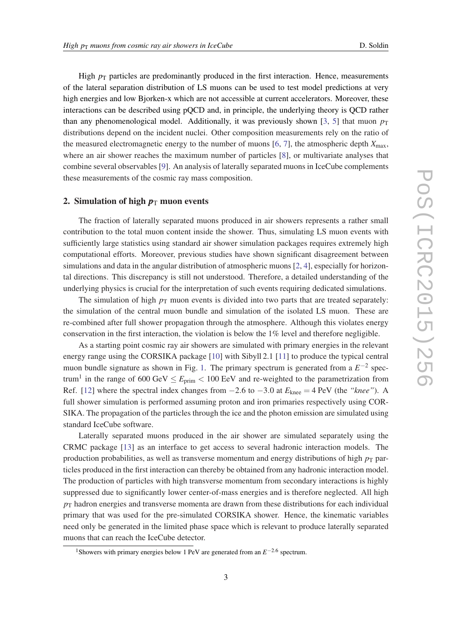High  $p<sub>T</sub>$  particles are predominantly produced in the first interaction. Hence, measurements of the lateral separation distribution of LS muons can be used to test model predictions at very high energies and low Bjorken-x which are not accessible at current accelerators. Moreover, these interactions can be described using pQCD and, in principle, the underlying theory is QCD rather than any phenomenological model. Additionally, it was previously shown [[3](#page-7-0), [5](#page-7-0)] that muon  $p_T$ distributions depend on the incident nuclei. Other composition measurements rely on the ratio of the measured electromagnetic energy to the number of muons  $[6, 7]$  $[6, 7]$  $[6, 7]$ , the atmospheric depth  $X_{\text{max}}$ , where an air shower reaches the maximum number of particles [\[8\]](#page-7-0), or multivariate analyses that combine several observables [[9](#page-7-0)]. An analysis of laterally separated muons in IceCube complements these measurements of the cosmic ray mass composition.

#### 2. Simulation of high  $p_T$  muon events

The fraction of laterally separated muons produced in air showers represents a rather small contribution to the total muon content inside the shower. Thus, simulating LS muon events with sufficiently large statistics using standard air shower simulation packages requires extremely high computational efforts. Moreover, previous studies have shown significant disagreement between simulations and data in the angular distribution of atmospheric muons [[2](#page-7-0), [4](#page-7-0)], especially for horizontal directions. This discrepancy is still not understood. Therefore, a detailed understanding of the underlying physics is crucial for the interpretation of such events requiring dedicated simulations.

The simulation of high  $p<sub>T</sub>$  muon events is divided into two parts that are treated separately: the simulation of the central muon bundle and simulation of the isolated LS muon. These are re-combined after full shower propagation through the atmosphere. Although this violates energy conservation in the first interaction, the violation is below the 1% level and therefore negligible.

As a starting point cosmic ray air showers are simulated with primary energies in the relevant energy range using the CORSIKA package [[10\]](#page-7-0) with Sibyll 2.1 [[11](#page-7-0)] to produce the typical central muon bundle signature as shown in Fig. [1](#page-1-0). The primary spectrum is generated from a  $E^{-2}$  spectrum<sup>1</sup> in the range of 600 GeV  $\leq E_{\text{prim}} < 100$  EeV and re-weighted to the parametrization from Ref. [\[12](#page-7-0)] where the spectral index changes from  $-2.6$  to  $-3.0$  at  $E_{\text{knee}} = 4 \text{ PeV}$  (the *"knee"*). A full shower simulation is performed assuming proton and iron primaries respectively using COR-SIKA. The propagation of the particles through the ice and the photon emission are simulated using standard IceCube software.

Laterally separated muons produced in the air shower are simulated separately using the CRMC package [\[13](#page-7-0)] as an interface to get access to several hadronic interaction models. The production probabilities, as well as transverse momentum and energy distributions of high  $p<sub>T</sub>$  particles produced in the first interaction can thereby be obtained from any hadronic interaction model. The production of particles with high transverse momentum from secondary interactions is highly suppressed due to significantly lower center-of-mass energies and is therefore neglected. All high  $p<sub>T</sub>$  hadron energies and transverse momenta are drawn from these distributions for each individual primary that was used for the pre-simulated CORSIKA shower. Hence, the kinematic variables need only be generated in the limited phase space which is relevant to produce laterally separated muons that can reach the IceCube detector.

<sup>&</sup>lt;sup>1</sup>Showers with primary energies below 1 PeV are generated from an *E*<sup>−2.6</sup> spectrum.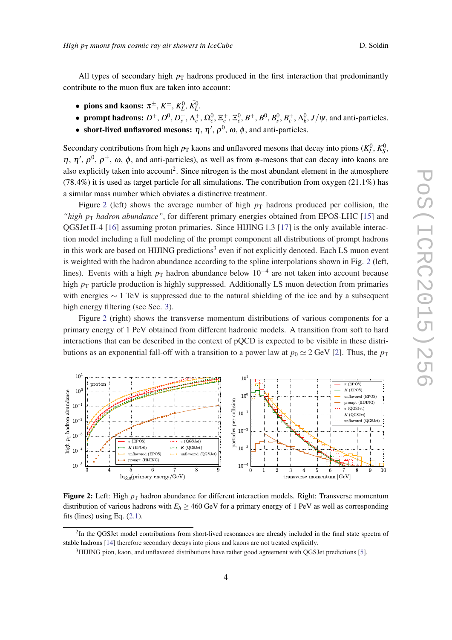<span id="page-3-0"></span>All types of secondary high  $p<sub>T</sub>$  hadrons produced in the first interaction that predominantly contribute to the muon flux are taken into account:

- pions and kaons:  $\pi^{\pm}$ ,  $K^{\pm}$ ,  $K^0_L$ ,  $\bar{K^0_L}$ .
- prompt hadrons:  $D^+$ ,  $D^0$ ,  $D_s^+$ ,  $\Lambda_c^+$ ,  $\Omega_c^0$ ,  $\Xi_c^+$ ,  $\Xi_c^0$ ,  $B^+$ ,  $B^0$ ,  $B_s^0$ ,  $B_c^+$ ,  $\Lambda_b^0$ ,  $J/\psi$ , and anti-particles.
- short-lived unflavored mesons:  $\eta$ ,  $\eta'$ ,  $\rho^0$ ,  $\omega$ ,  $\phi$ , and anti-particles.

Secondary contributions from high  $p_T$  kaons and unflavored mesons that decay into pions  $(K_L^0, K_S^0)$ ,  $\eta$ ,  $\eta'$ ,  $\rho^0$ ,  $\rho^{\pm}$ ,  $\omega$ ,  $\phi$ , and anti-particles), as well as from  $\phi$ -mesons that can decay into kaons are also explicitly taken into account<sup>2</sup>. Since nitrogen is the most abundant element in the atmosphere  $(78.4\%)$  it is used as target particle for all simulations. The contribution from oxygen  $(21.1\%)$  has a similar mass number which obviates a distinctive treatment.

Figure 2 (left) shows the average number of high  $p<sub>T</sub>$  hadrons produced per collision, the *"high p<sub>T</sub> hadron abundance"*, for different primary energies obtained from EPOS-LHC [\[15](#page-7-0)] and QGSJet II-4 [\[16](#page-7-0)] assuming proton primaries. Since HIJING 1.3 [\[17](#page-7-0)] is the only available interaction model including a full modeling of the prompt component all distributions of prompt hadrons in this work are based on HIJING predictions<sup>3</sup> even if not explicitly denoted. Each LS muon event is weighted with the hadron abundance according to the spline interpolations shown in Fig. 2 (left, lines). Events with a high  $p<sub>T</sub>$  hadron abundance below 10<sup>-4</sup> are not taken into account because high  $p_T$  particle production is highly suppressed. Additionally LS muon detection from primaries with energies  $\sim$  1 TeV is suppressed due to the natural shielding of the ice and by a subsequent high energy filtering (see Sec. [3\)](#page-5-0).

Figure 2 (right) shows the transverse momentum distributions of various components for a primary energy of 1 PeV obtained from different hadronic models. A transition from soft to hard interactions that can be described in the context of pQCD is expected to be visible in these distributions as an exponential fall-off with a transition to a power law at  $p_0 \simeq 2$  GeV [\[2\]](#page-7-0). Thus, the  $p_T$ 



**Figure 2:** Left: High  $p<sub>T</sub>$  hadron abundance for different interaction models. Right: Transverse momentum distribution of various hadrons with  $E_h \ge 460$  GeV for a primary energy of 1 PeV as well as corresponding fits (lines) using Eq.  $(2.1)$  $(2.1)$ .

<sup>&</sup>lt;sup>2</sup>In the QGSJet model contributions from short-lived resonances are already included in the final state spectra of stable hadrons [\[14](#page-7-0)] therefore secondary decays into pions and kaons are not treated explicitly.

<sup>&</sup>lt;sup>3</sup>HIJING pion, kaon, and unflavored distributions have rather good agreement with QGSJet predictions [[5](#page-7-0)].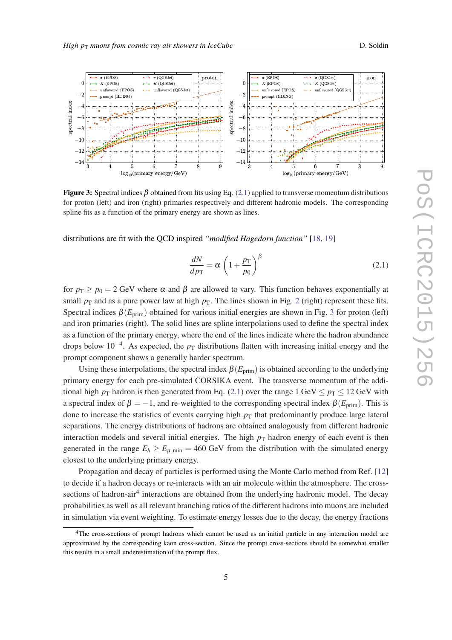

<span id="page-4-0"></span>

Figure 3: Spectral indices  $\beta$  obtained from fits using Eq. (2.1) applied to transverse momentum distributions for proton (left) and iron (right) primaries respectively and different hadronic models. The corresponding spline fits as a function of the primary energy are shown as lines.

distributions are fit with the QCD inspired *"modified Hagedorn function"* [\[18](#page-7-0), [19\]](#page-7-0)

$$
\frac{dN}{dp_{\rm T}} = \alpha \left( 1 + \frac{p_{\rm T}}{p_0} \right)^{\beta} \tag{2.1}
$$

for  $p_T \ge p_0 = 2$  GeV where  $\alpha$  and  $\beta$  are allowed to vary. This function behaves exponentially at small  $p_T$  and as a pure power law at high  $p_T$ . The lines shown in Fig. [2](#page-3-0) (right) represent these fits. Spectral indices  $\beta(E_{\text{prim}})$  obtained for various initial energies are shown in Fig. 3 for proton (left) and iron primaries (right). The solid lines are spline interpolations used to define the spectral index as a function of the primary energy, where the end of the lines indicate where the hadron abundance drops below 10<sup>-4</sup>. As expected, the *p*<sub>T</sub> distributions flatten with increasing initial energy and the prompt component shows a generally harder spectrum.

Using these interpolations, the spectral index  $\beta(E_{\text{prim}})$  is obtained according to the underlying primary energy for each pre-simulated CORSIKA event. The transverse momentum of the additional high  $p_T$  hadron is then generated from Eq. (2.1) over the range 1 GeV  $\leq p_T \leq 12$  GeV with a spectral index of  $\beta = -1$ , and re-weighted to the corresponding spectral index  $\beta(E_{\text{prim}})$ . This is done to increase the statistics of events carrying high  $p<sub>T</sub>$  that predominantly produce large lateral separations. The energy distributions of hadrons are obtained analogously from different hadronic interaction models and several initial energies. The high  $p<sub>T</sub>$  hadron energy of each event is then generated in the range  $E_h \ge E_{\mu, \text{min}} = 460 \text{ GeV}$  from the distribution with the simulated energy closest to the underlying primary energy.

Propagation and decay of particles is performed using the Monte Carlo method from Ref. [\[12](#page-7-0)] to decide if a hadron decays or re-interacts with an air molecule within the atmosphere. The crosssections of hadron-air<sup>4</sup> interactions are obtained from the underlying hadronic model. The decay probabilities as well as all relevant branching ratios of the different hadrons into muons are included in simulation via event weighting. To estimate energy losses due to the decay, the energy fractions

<sup>&</sup>lt;sup>4</sup>The cross-sections of prompt hadrons which cannot be used as an initial particle in any interaction model are approximated by the corresponding kaon cross-section. Since the prompt cross-sections should be somewhat smaller this results in a small underestimation of the prompt flux.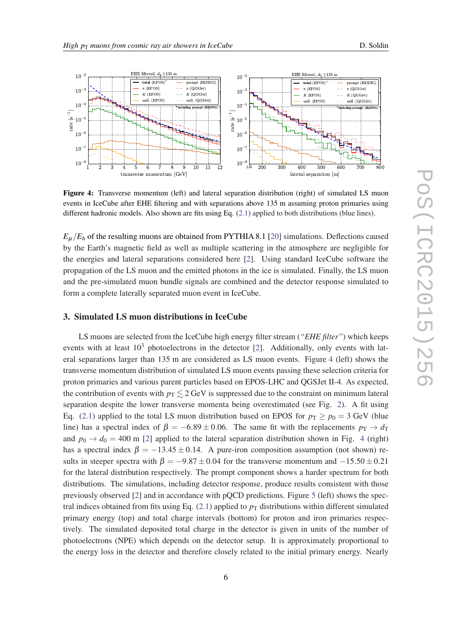

<span id="page-5-0"></span>

Figure 4: Transverse momentum (left) and lateral separation distribution (right) of simulated LS muon events in IceCube after EHE filtering and with separations above 135 m assuming proton primaries using different hadronic models. Also shown are fits using Eq.  $(2.1)$  $(2.1)$  applied to both distributions (blue lines).

 $E_{\mu}/E_h$  of the resulting muons are obtained from PYTHIA 8.1 [[20](#page-7-0)] simulations. Deflections caused by the Earth's magnetic field as well as multiple scattering in the atmosphere are negligible for the energies and lateral separations considered here [[2](#page-7-0)]. Using standard IceCube software the propagation of the LS muon and the emitted photons in the ice is simulated. Finally, the LS muon and the pre-simulated muon bundle signals are combined and the detector response simulated to form a complete laterally separated muon event in IceCube.

## 3. Simulated LS muon distributions in IceCube

LS muons are selected from the IceCube high energy filter stream (*"EHE filter"*) which keeps events with at least  $10^3$  photoelectrons in the detector [[2](#page-7-0)]. Additionally, only events with lateral separations larger than 135 m are considered as LS muon events. Figure 4 (left) shows the transverse momentum distribution of simulated LS muon events passing these selection criteria for proton primaries and various parent particles based on EPOS-LHC and QGSJet II-4. As expected, the contribution of events with  $p_T \leq 2$  GeV is suppressed due to the constraint on minimum lateral separation despite the lower transverse momenta being overestimated (see Fig. [2\)](#page-3-0). A fit using Eq. [\(2.1\)](#page-4-0) applied to the total LS muon distribution based on EPOS for  $p_T \ge p_0 = 3$  GeV (blue line) has a spectral index of  $\beta = -6.89 \pm 0.06$ . The same fit with the replacements  $p_T \rightarrow d_T$ and  $p_0 \rightarrow d_0 = 400$  m [[2](#page-7-0)] applied to the lateral separation distribution shown in Fig. 4 (right) has a spectral index  $\beta = -13.45 \pm 0.14$ . A pure-iron composition assumption (not shown) results in steeper spectra with  $\beta = -9.87 \pm 0.04$  for the transverse momentum and  $-15.50 \pm 0.21$ for the lateral distribution respectively. The prompt component shows a harder spectrum for both distributions. The simulations, including detector response, produce results consistent with those previously observed [[2](#page-7-0)] and in accordance with pQCD predictions. Figure [5](#page-6-0) (left) shows the spectral indices obtained from fits using Eq.  $(2.1)$  applied to  $p<sub>T</sub>$  distributions within different simulated primary energy (top) and total charge intervals (bottom) for proton and iron primaries respectively. The simulated deposited total charge in the detector is given in units of the number of photoelectrons (NPE) which depends on the detector setup. It is approximately proportional to the energy loss in the detector and therefore closely related to the initial primary energy. Nearly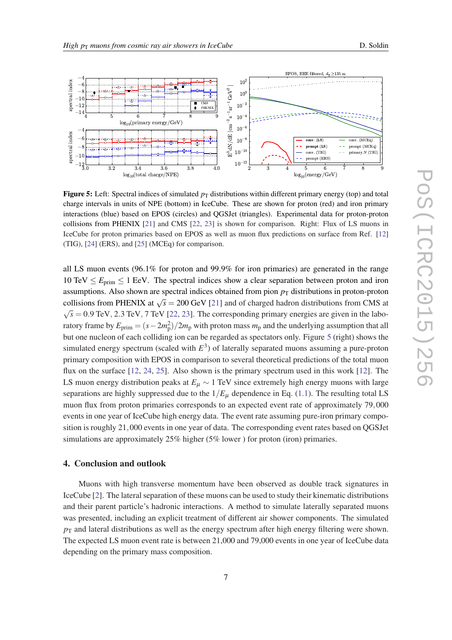

<span id="page-6-0"></span>

**Figure 5:** Left: Spectral indices of simulated  $p<sub>T</sub>$  distributions within different primary energy (top) and total charge intervals in units of NPE (bottom) in IceCube. These are shown for proton (red) and iron primary interactions (blue) based on EPOS (circles) and QGSJet (triangles). Experimental data for proton-proton collisions from PHENIX [\[21](#page-7-0)] and CMS [[22,](#page-7-0) [23](#page-7-0)] is shown for comparison. Right: Flux of LS muons in IceCube for proton primaries based on EPOS as well as muon flux predictions on surface from Ref. [[12\]](#page-7-0) (TIG), [[24\]](#page-7-0) (ERS), and [[25\]](#page-7-0) (MCEq) for comparison.

all LS muon events (96.1% for proton and 99.9% for iron primaries) are generated in the range 10 TeV  $\leq E_{\text{prim}} \leq 1$  EeV. The spectral indices show a clear separation between proton and iron assumptions. Also shown are spectral indices obtained from pion  $p<sub>T</sub>$  distributions in proton-proton collisions from PHENIX at  $\sqrt{s}$  = 200 GeV [[21](#page-7-0)] and of charged hadron distributions from CMS at √  $\overline{s}$  = 0.9 TeV, 2.3 TeV, 7 TeV [\[22](#page-7-0), [23](#page-7-0)]. The corresponding primary energies are given in the laboratory frame by  $E_{\text{prim}} = (s - 2m_{\text{p}}^2)/2m_{\text{p}}$  with proton mass  $m_{\text{p}}$  and the underlying assumption that all but one nucleon of each colliding ion can be regarded as spectators only. Figure 5 (right) shows the simulated energy spectrum (scaled with *E* 3 ) of laterally separated muons assuming a pure-proton primary composition with EPOS in comparison to several theoretical predictions of the total muon flux on the surface [\[12](#page-7-0), [24,](#page-7-0) [25\]](#page-7-0). Also shown is the primary spectrum used in this work [\[12\]](#page-7-0). The LS muon energy distribution peaks at  $E<sub>µ</sub> \sim 1$  TeV since extremely high energy muons with large separations are highly suppressed due to the  $1/E_{\mu}$  dependence in Eq. [\(1.1](#page-1-0)). The resulting total LS muon flux from proton primaries corresponds to an expected event rate of approximately 79,000 events in one year of IceCube high energy data. The event rate assuming pure-iron primary composition is roughly 21,000 events in one year of data. The corresponding event rates based on QGSJet simulations are approximately 25% higher (5% lower) for proton (iron) primaries.

## 4. Conclusion and outlook

Muons with high transverse momentum have been observed as double track signatures in IceCube [\[2\]](#page-7-0). The lateral separation of these muons can be used to study their kinematic distributions and their parent particle's hadronic interactions. A method to simulate laterally separated muons was presented, including an explicit treatment of different air shower components. The simulated  $p<sub>T</sub>$  and lateral distributions as well as the energy spectrum after high energy filtering were shown. The expected LS muon event rate is between 21,000 and 79,000 events in one year of IceCube data depending on the primary mass composition.